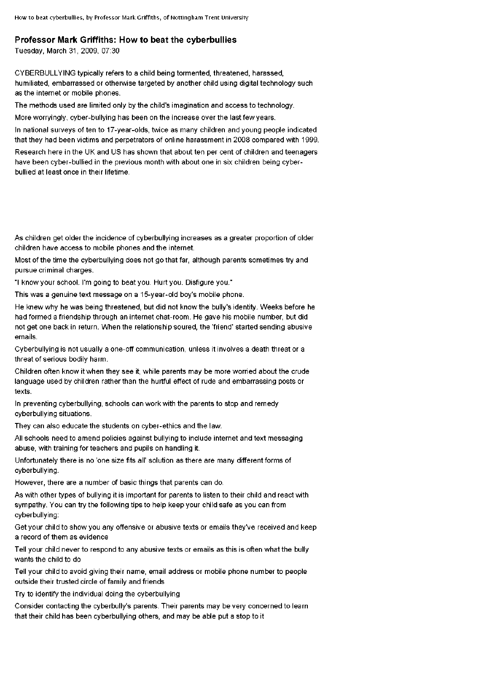## **Professor Mark Griffiths: How to beat the cyberbullies**

Tuesday, March 31, 2009, 07:30

CYBERBULLYING typically refers to a child being tormented, threatened, harassed, humiliated, embarrassed or otherwise targeted by another child using digital technology such as the internet or mobile phones.

The methods used are limited only by the child's imagination and access to technology.

Moreworryingly, cyber-bullying has been on the increase over the last few years.

In national surveys often to 17-year-olds, twice as many children and young people indicated that they had been victims and perpetrators of online harassment in 2008 compared with 1999.

Research here in the UK and US has shown that about ten per cent of children and teenagers have been cyber-bullied in the previous month with about one in six children being cyberbullied at least once in their lifetime.

As children get older the incidence of cyberbullying increases as a greater proportion of older children have access to mobile phones and the internet.

Most of the time the cyberbullying does not go that far, although parents sometimes try and pursue criminal charges.

"I know your school. I'm going to beat you. Hurt you. Disfigure you."

This was a genuine text message on a 15-year-old boy's mobile phone.

He knew why he was being threatened, but did not know the bully's identity. Weeks before he had formed a friendship through an internet chat-room. He gave his mobile number, but did not get one back in return. When the relationship soured, the 'friend' started sending abusive emails.

Cyberbullying is not usually a one-off communication, unless it involves a death threat or a threat of serious bodily harm.

Children often know it when they see it, while parents may be more worried about the crude language used by children rather than the hurtful effect of rude and embarrassing posts or texts.

In preventing cyberbullying, schools can work with the parents to stop and remedy cyberbullying situations.

They can also educate the students on cyber-ethics and the law.

All schools need to amend policies against bullying to include internet and text messaging abuse, with training for teachers and pupils on handling it.

Unfortunately there is no 'one size fits all' solution as there are many different forms of cyberbullying.

However, there are a number of basic things that parents can do.

As with other types of bullying it is important for parents to listen to their child and react with sympathy. You can try the following tips to help keep your child safe as you can from cyberbullying:

Get your child to show you any offensive or abusive texts or emails they've received and keep a record of them as evidence

Tell your child never to respond to any abusive texts or emails as this is often what the bully wants the child to do

Tell your child to avoid giving their name, email address or mobile phone number to people outside their trusted circle of family and friends

Try to identify the individual doing the cyberbullying

Consider contacting the cyberbully's parents. Their parents may be very concerned to learn that their child has been cyberbullying others, and may be able put a stop to it